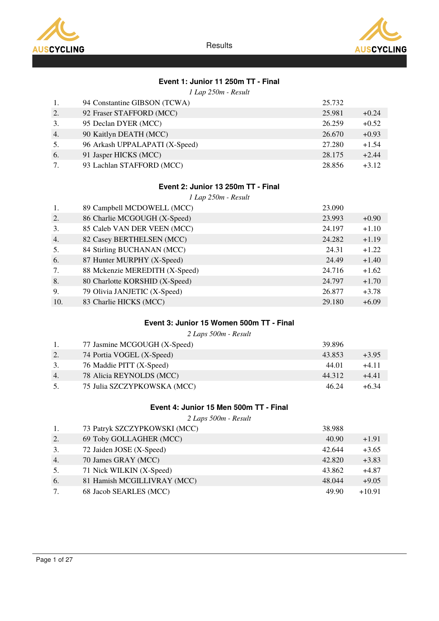



# Event 1: Junior 11 250m TT - Final

1 Lap 250m - Result

| 1. | 94 Constantine GIBSON (TCWA)   | 25.732 |         |
|----|--------------------------------|--------|---------|
| 2. | 92 Fraser STAFFORD (MCC)       | 25.981 | $+0.24$ |
| 3. | 95 Declan DYER (MCC)           | 26.259 | $+0.52$ |
| 4. | 90 Kaitlyn DEATH (MCC)         | 26.670 | $+0.93$ |
| 5. | 96 Arkash UPPALAPATI (X-Speed) | 27.280 | $+1.54$ |
| 6. | 91 Jasper HICKS (MCC)          | 28.175 | $+2.44$ |
| 7. | 93 Lachlan STAFFORD (MCC)      | 28.856 | $+3.12$ |

### Event 2: Junior 13 250m TT - Final

1 Lap 250m - Result

| 1.  | 89 Campbell MCDOWELL (MCC)     | 23.090 |         |
|-----|--------------------------------|--------|---------|
| 2.  | 86 Charlie MCGOUGH (X-Speed)   | 23.993 | $+0.90$ |
| 3.  | 85 Caleb VAN DER VEEN (MCC)    | 24.197 | $+1.10$ |
| 4.  | 82 Casey BERTHELSEN (MCC)      | 24.282 | $+1.19$ |
| 5.  | 84 Stirling BUCHANAN (MCC)     | 24.31  | $+1.22$ |
| 6.  | 87 Hunter MURPHY (X-Speed)     | 24.49  | $+1.40$ |
| 7.  | 88 Mckenzie MEREDITH (X-Speed) | 24.716 | $+1.62$ |
| 8.  | 80 Charlotte KORSHID (X-Speed) | 24.797 | $+1.70$ |
| 9.  | 79 Olivia JANJETIC (X-Speed)   | 26.877 | $+3.78$ |
| 10. | 83 Charlie HICKS (MCC)         | 29.180 | $+6.09$ |

# Event 3: Junior 15 Women 500m TT - Final

2 Laps 500m - Result

|    | 77 Jasmine MCGOUGH (X-Speed) | 39.896 |         |
|----|------------------------------|--------|---------|
| 2. | 74 Portia VOGEL (X-Speed)    | 43.853 | $+3.95$ |
| 3. | 76 Maddie PITT (X-Speed)     | 44.01  | $+4.11$ |
| 4. | 78 Alicia REYNOLDS (MCC)     | 44.312 | $+4.41$ |
| 5. | 75 Julia SZCZYPKOWSKA (MCC)  | 46.24  | $+6.34$ |

### Event 4: Junior 15 Men 500m TT - Final

2 Laps 500m - Result

| 1. | 73 Patryk SZCZYPKOWSKI (MCC) | 38.988 |          |
|----|------------------------------|--------|----------|
| 2. | 69 Toby GOLLAGHER (MCC)      | 40.90  | $+1.91$  |
| 3. | 72 Jaiden JOSE (X-Speed)     | 42.644 | $+3.65$  |
| 4. | 70 James GRAY (MCC)          | 42.820 | $+3.83$  |
| 5. | 71 Nick WILKIN (X-Speed)     | 43.862 | $+4.87$  |
| 6. | 81 Hamish MCGILLIVRAY (MCC)  | 48.044 | $+9.05$  |
| 7. | 68 Jacob SEARLES (MCC)       | 49.90  | $+10.91$ |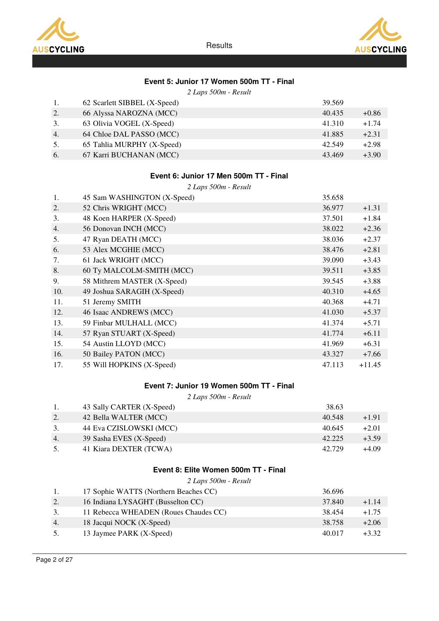



# Event 5: Junior 17 Women 500m TT - Final

2 Laps 500m - Result

|    | 62 Scarlett SIBBEL (X-Speed) | 39.569 |         |
|----|------------------------------|--------|---------|
| 2. | 66 Alyssa NAROZNA (MCC)      | 40.435 | $+0.86$ |
| 3. | 63 Olivia VOGEL (X-Speed)    | 41.310 | $+1.74$ |
| 4. | 64 Chloe DAL PASSO (MCC)     | 41.885 | $+2.31$ |
| 5. | 65 Tahlia MURPHY (X-Speed)   | 42.549 | $+2.98$ |
| 6. | 67 Karri BUCHANAN (MCC)      | 43.469 | $+3.90$ |

### Event 6: Junior 17 Men 500m TT - Final

|     | 2 Laps 500m - Result        |        |          |  |  |  |
|-----|-----------------------------|--------|----------|--|--|--|
| 1.  | 45 Sam WASHINGTON (X-Speed) | 35.658 |          |  |  |  |
| 2.  | 52 Chris WRIGHT (MCC)       | 36.977 | $+1.31$  |  |  |  |
| 3.  | 48 Koen HARPER (X-Speed)    | 37.501 | $+1.84$  |  |  |  |
| 4.  | 56 Donovan INCH (MCC)       | 38.022 | $+2.36$  |  |  |  |
| 5.  | 47 Ryan DEATH (MCC)         | 38.036 | $+2.37$  |  |  |  |
| 6.  | 53 Alex MCGHIE (MCC)        | 38.476 | $+2.81$  |  |  |  |
| 7.  | 61 Jack WRIGHT (MCC)        | 39.090 | $+3.43$  |  |  |  |
| 8.  | 60 Ty MALCOLM-SMITH (MCC)   | 39.511 | $+3.85$  |  |  |  |
| 9.  | 58 Mithrem MASTER (X-Speed) | 39.545 | $+3.88$  |  |  |  |
| 10. | 49 Joshua SARAGIH (X-Speed) | 40.310 | $+4.65$  |  |  |  |
| 11. | 51 Jeremy SMITH             | 40.368 | $+4.71$  |  |  |  |
| 12. | 46 Isaac ANDREWS (MCC)      | 41.030 | $+5.37$  |  |  |  |
| 13. | 59 Finbar MULHALL (MCC)     | 41.374 | $+5.71$  |  |  |  |
| 14. | 57 Ryan STUART (X-Speed)    | 41.774 | $+6.11$  |  |  |  |
| 15. | 54 Austin LLOYD (MCC)       | 41.969 | $+6.31$  |  |  |  |
| 16. | 50 Bailey PATON (MCC)       | 43.327 | $+7.66$  |  |  |  |
| 17. | 55 Will HOPKINS (X-Speed)   | 47.113 | $+11.45$ |  |  |  |

## Event 7: Junior 19 Women 500m TT - Final

2 Laps 500m - Result

|    | 43 Sally CARTER (X-Speed) | 38.63  |         |
|----|---------------------------|--------|---------|
| 2. | 42 Bella WALTER (MCC)     | 40.548 | $+1.91$ |
|    | 44 Eva CZISLOWSKI (MCC)   | 40.645 | $+2.01$ |
| 4. | 39 Sasha EVES (X-Speed)   | 42.225 | $+3.59$ |
|    | 41 Kiara DEXTER (TCWA)    | 42.729 | $+4.09$ |

### Event 8: Elite Women 500m TT - Final

| 2 Laps 500m - Result |  |
|----------------------|--|
|----------------------|--|

|    | 17 Sophie WATTS (Northern Beaches CC) | 36.696 |         |
|----|---------------------------------------|--------|---------|
| 2. | 16 Indiana LYSAGHT (Busselton CC)     | 37.840 | $+1.14$ |
|    | 11 Rebecca WHEADEN (Roues Chaudes CC) | 38.454 | $+1.75$ |
| 4. | 18 Jacqui NOCK (X-Speed)              | 38.758 | $+2.06$ |
|    | 13 Jaymee PARK (X-Speed)              | 40.017 | $+3.32$ |
|    |                                       |        |         |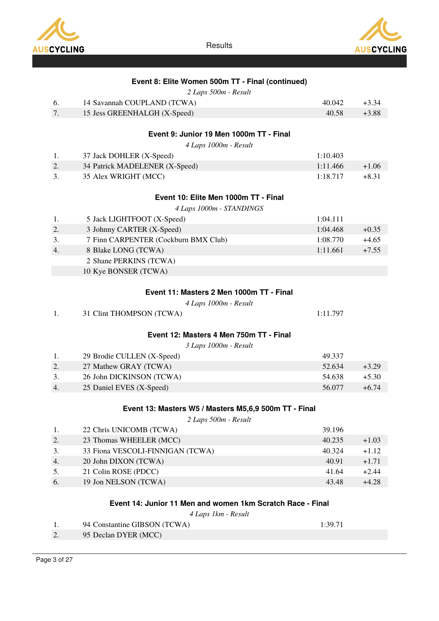



|  |  |  |  |  |  | Event 8: Elite Women 500m TT - Final (continued) |
|--|--|--|--|--|--|--------------------------------------------------|
|--|--|--|--|--|--|--------------------------------------------------|

|  |  | 2 Laps 500m - Result |
|--|--|----------------------|
|  |  |                      |

| 14 Savannah COUPLAND (TCWA)  | 40.042 | $+3.34$ |
|------------------------------|--------|---------|
| 15 Jess GREENHALGH (X-Speed) | 40.58  | +3.88   |

# Event 9: Junior 19 Men 1000m TT - Final

4 Laps 1000m - Result

|    | 37 Jack DOHLER (X-Speed)       | 1:10.403 |         |
|----|--------------------------------|----------|---------|
|    | 34 Patrick MADELENER (X-Speed) | 1:11.466 | $+1.06$ |
| 3. | 35 Alex WRIGHT (MCC)           | 1:18.717 | $+8.31$ |

### Event 10: Elite Men 1000m TT - Final

|  |  | 4 Laps 1000m - STANDINGS |  |  |  |
|--|--|--------------------------|--|--|--|
|--|--|--------------------------|--|--|--|

| 1. | 5 Jack LIGHTFOOT (X-Speed)           | 1:04.111 |         |
|----|--------------------------------------|----------|---------|
| 2. | 3 Johnny CARTER (X-Speed)            | 1:04.468 | $+0.35$ |
| 3. | 7 Finn CARPENTER (Cockburn BMX Club) | 1:08.770 | $+4.65$ |
| 4. | 8 Blake LONG (TCWA)                  | 1:11.661 | $+7.55$ |
|    | 2 Shane PERKINS (TCWA)               |          |         |
|    | 10 Kye BONSER (TCWA)                 |          |         |

#### Event 11: Masters 2 Men 1000m TT - Final

#### 4 Laps 1000m - Result

| 1:11.797 |
|----------|
|          |

### Event 12: Masters 4 Men 750m TT - Final

|    | 29 Brodie CULLEN (X-Speed) | 49.337 |         |
|----|----------------------------|--------|---------|
|    | 27 Mathew GRAY (TCWA)      | 52.634 | $+3.29$ |
| 3. | 26 John DICKINSON (TCWA)   | 54.638 | $+5.30$ |
| 4. | 25 Daniel EVES (X-Speed)   | 56.077 | $+6.74$ |

### Event 13: Masters W5 / Masters M5,6,9 500m TT - Final

2 Laps 500m - Result

|    | 22 Chris UNICOMB (TCWA)          | 39.196 |         |
|----|----------------------------------|--------|---------|
| 2. | 23 Thomas WHEELER (MCC)          | 40.235 | $+1.03$ |
| 3. | 33 Fiona VESCOLI-FINNIGAN (TCWA) | 40.324 | $+1.12$ |
| 4. | 20 John DIXON (TCWA)             | 40.91  | $+1.71$ |
| 5. | 21 Colin ROSE (PDCC)             | 41.64  | $+2.44$ |
| 6. | 19 Jon NELSON (TCWA)             | 43.48  | $+4.28$ |

#### Event 14: Junior 11 Men and women 1km Scratch Race - Final

|    | 94 Constantine GIBSON (TCWA) | 1:39.71 |
|----|------------------------------|---------|
| Ζ. | 95 Declan DYER (MCC)         |         |
|    |                              |         |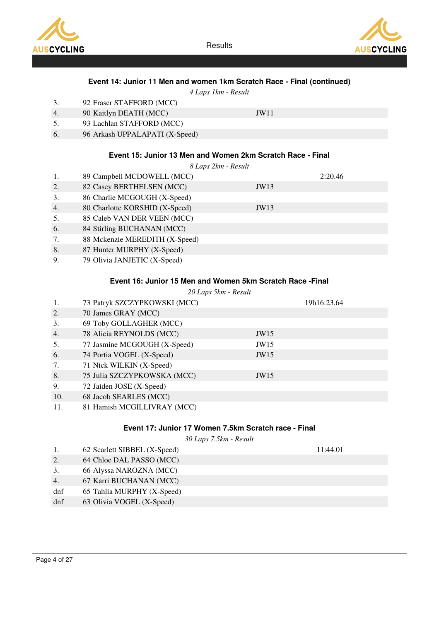





4 Laps 1km - Result

- 3. 92 Fraser STAFFORD (MCC)
- 4. 90 Kaitlyn DEATH (MCC) JW11
- 5. 93 Lachlan STAFFORD (MCC)
- 6. 96 Arkash UPPALAPATI (X-Speed)

### Event 15: Junior 13 Men and Women 2km Scratch Race - Final

8 Laps 2km - Result

- 1. 89 Campbell MCDOWELL (MCC) 2:20.46
- 2. 82 Casey BERTHELSEN (MCC) JW13
- 3. 86 Charlie MCGOUGH (X-Speed)
- 4. 80 Charlotte KORSHID (X-Speed) JW13
- 5. 85 Caleb VAN DER VEEN (MCC)
- 6. 84 Stirling BUCHANAN (MCC)
- 7. 88 Mckenzie MEREDITH (X-Speed)
- 8. 87 Hunter MURPHY (X-Speed)
- 9. 79 Olivia JANJETIC (X-Speed)

### Event 16: Junior 15 Men and Women 5km Scratch Race -Final

#### 20 Laps 5km - Result

| 1.  | 73 Patryk SZCZYPKOWSKI (MCC) |      | 19h16:23.64 |
|-----|------------------------------|------|-------------|
| 2.  | 70 James GRAY (MCC)          |      |             |
| 3.  | 69 Toby GOLLAGHER (MCC)      |      |             |
| 4.  | 78 Alicia REYNOLDS (MCC)     | JW15 |             |
| 5.  | 77 Jasmine MCGOUGH (X-Speed) | JW15 |             |
| 6.  | 74 Portia VOGEL (X-Speed)    | JW15 |             |
| 7.  | 71 Nick WILKIN (X-Speed)     |      |             |
| 8.  | 75 Julia SZCZYPKOWSKA (MCC)  | JW15 |             |
| 9.  | 72 Jaiden JOSE (X-Speed)     |      |             |
| 10. | 68 Jacob SEARLES (MCC)       |      |             |
| 11. | 81 Hamish MCGILLIVRAY (MCC)  |      |             |

### Event 17: Junior 17 Women 7.5km Scratch race - Final

30 Laps 7.5km - Result

|     | 62 Scarlett SIBBEL (X-Speed) | 11:44.01 |
|-----|------------------------------|----------|
| 2.  | 64 Chloe DAL PASSO (MCC)     |          |
| 3.  | 66 Alyssa NAROZNA (MCC)      |          |
| 4.  | 67 Karri BUCHANAN (MCC)      |          |
| dnf | 65 Tahlia MURPHY (X-Speed)   |          |
| dnf | 63 Olivia VOGEL (X-Speed)    |          |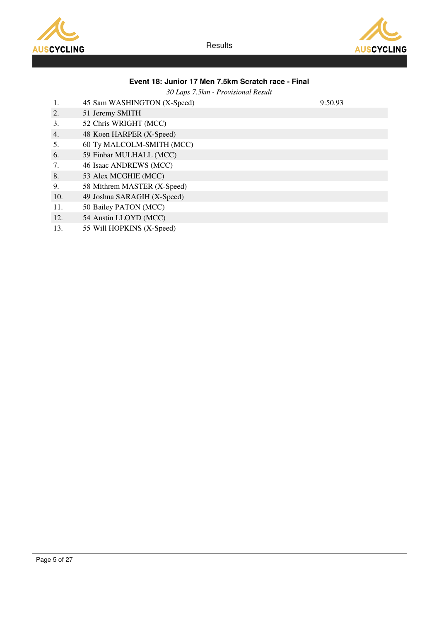



### Event 18: Junior 17 Men 7.5km Scratch race - Final

30 Laps 7.5km - Provisional Result

- 1. 45 Sam WASHINGTON (X-Speed) 9:50.93
- 2. 51 Jeremy SMITH
- 3. 52 Chris WRIGHT (MCC)
- 4. 48 Koen HARPER (X-Speed)
- 5. 60 Ty MALCOLM-SMITH (MCC)
- 6. 59 Finbar MULHALL (MCC)
- 7. 46 Isaac ANDREWS (MCC)
- 8. 53 Alex MCGHIE (MCC)
- 9. 58 Mithrem MASTER (X-Speed)
- 10. 49 Joshua SARAGIH (X-Speed)
- 11. 50 Bailey PATON (MCC)
- 12. 54 Austin LLOYD (MCC)
- 13. 55 Will HOPKINS (X-Speed)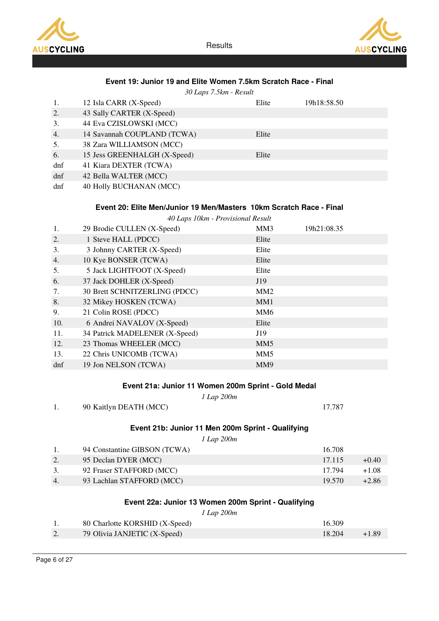



| Event 19: Junior 19 and Elite Women 7.5km Scratch Race - Final |                                                                     |                 |             |
|----------------------------------------------------------------|---------------------------------------------------------------------|-----------------|-------------|
|                                                                | 30 Laps 7.5km - Result                                              |                 |             |
| 1.                                                             | 12 Isla CARR (X-Speed)                                              | Elite           | 19h18:58.50 |
| 2.                                                             | 43 Sally CARTER (X-Speed)                                           |                 |             |
| 3.                                                             | 44 Eva CZISLOWSKI (MCC)                                             |                 |             |
| 4.                                                             | 14 Savannah COUPLAND (TCWA)                                         | Elite           |             |
| 5.                                                             | 38 Zara WILLIAMSON (MCC)                                            |                 |             |
| 6.                                                             | 15 Jess GREENHALGH (X-Speed)                                        | Elite           |             |
| dnf                                                            | 41 Kiara DEXTER (TCWA)                                              |                 |             |
| dnf                                                            | 42 Bella WALTER (MCC)                                               |                 |             |
| dnf                                                            | 40 Holly BUCHANAN (MCC)                                             |                 |             |
|                                                                |                                                                     |                 |             |
|                                                                | Event 20: Elite Men/Junior 19 Men/Masters 10km Scratch Race - Final |                 |             |
|                                                                | 40 Laps 10km - Provisional Result                                   |                 |             |
| 1.                                                             | 29 Brodie CULLEN (X-Speed)                                          | MM3             | 19h21:08.35 |
| 2.                                                             | 1 Steve HALL (PDCC)                                                 | Elite           |             |
| 3.                                                             | 3 Johnny CARTER (X-Speed)                                           | Elite           |             |
| 4.                                                             | 10 Kye BONSER (TCWA)                                                | Elite           |             |
| 5.                                                             | 5 Jack LIGHTFOOT (X-Speed)                                          | Elite           |             |
| 6.                                                             | 37 Jack DOHLER (X-Speed)                                            | J19             |             |
| 7.                                                             | 30 Brett SCHNITZERLING (PDCC)                                       | MM <sub>2</sub> |             |
| 8.                                                             | 32 Mikey HOSKEN (TCWA)                                              | MM1             |             |
| 9.                                                             | 21 Colin ROSE (PDCC)                                                | MM <sub>6</sub> |             |
| 10.                                                            | 6 Andrei NAVALOV (X-Speed)                                          | Elite           |             |
| 11.                                                            | 34 Patrick MADELENER (X-Speed)                                      | J19             |             |
| 12.                                                            | 23 Thomas WHEELER (MCC)                                             | MM <sub>5</sub> |             |
| 13.                                                            | 22 Chris UNICOMB (TCWA)                                             | MM <sub>5</sub> |             |
| dnf                                                            | 19 Jon NELSON (TCWA)                                                | MM9             |             |
|                                                                |                                                                     |                 |             |
|                                                                | Event 21a: Junior 11 Women 200m Sprint - Gold Medal                 |                 |             |

### Event 21a: Junior 11 Women 200m Sprint - Gold Medal

|                        | 1 Lap 200m |        |
|------------------------|------------|--------|
| 90 Kaitlyn DEATH (MCC) |            | 17.787 |

# Event 21b: Junior 11 Men 200m Sprint - Qualifying

1 Lap 200m

|    | 94 Constantine GIBSON (TCWA) | 16.708 |         |
|----|------------------------------|--------|---------|
|    | 95 Declan DYER (MCC)         | 17.115 | $+0.40$ |
| 3. | 92 Fraser STAFFORD (MCC)     | 17.794 | $+1.08$ |
| 4. | 93 Lachlan STAFFORD (MCC)    | 19.570 | $+2.86$ |

### Event 22a: Junior 13 Women 200m Sprint - Qualifying

1 Lap 200m

|    | 80 Charlotte KORSHID (X-Speed) | 16.309 |       |
|----|--------------------------------|--------|-------|
| 2. | 79 Olivia JANJETIC (X-Speed)   | 18.204 | +1.89 |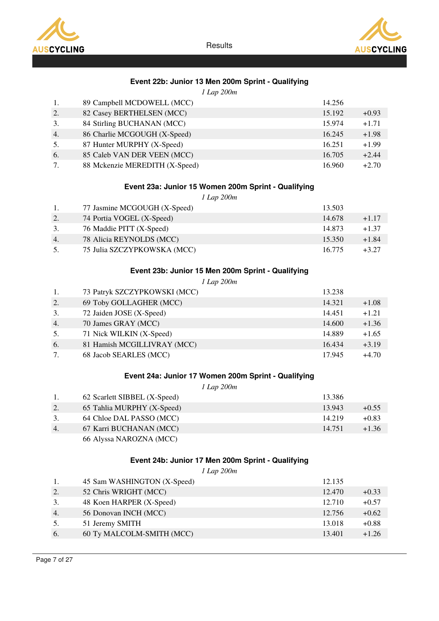



# Event 22b: Junior 13 Men 200m Sprint - Qualifying

1 Lap 200m

| 1. | 89 Campbell MCDOWELL (MCC)     | 14.256 |         |
|----|--------------------------------|--------|---------|
| 2. | 82 Casey BERTHELSEN (MCC)      | 15.192 | $+0.93$ |
| 3. | 84 Stirling BUCHANAN (MCC)     | 15.974 | $+1.71$ |
| 4. | 86 Charlie MCGOUGH (X-Speed)   | 16.245 | $+1.98$ |
| 5. | 87 Hunter MURPHY (X-Speed)     | 16.251 | $+1.99$ |
| 6. | 85 Caleb VAN DER VEEN (MCC)    | 16.705 | $+2.44$ |
| 7. | 88 Mckenzie MEREDITH (X-Speed) | 16.960 | $+2.70$ |

### Event 23a: Junior 15 Women 200m Sprint - Qualifying

1 Lap 200m

|    | 77 Jasmine MCGOUGH (X-Speed) | 13.503 |         |
|----|------------------------------|--------|---------|
| 2. | 74 Portia VOGEL (X-Speed)    | 14.678 | $+1.17$ |
| 3. | 76 Maddie PITT (X-Speed)     | 14.873 | $+1.37$ |
| 4. | 78 Alicia REYNOLDS (MCC)     | 15.350 | $+1.84$ |
| 5. | 75 Julia SZCZYPKOWSKA (MCC)  | 16.775 | $+3.27$ |

### Event 23b: Junior 15 Men 200m Sprint - Qualifying

1 Lap 200m

| 1. | 73 Patryk SZCZYPKOWSKI (MCC) | 13.238 |         |
|----|------------------------------|--------|---------|
| 2. | 69 Toby GOLLAGHER (MCC)      | 14.321 | $+1.08$ |
| 3. | 72 Jaiden JOSE (X-Speed)     | 14.451 | $+1.21$ |
| 4. | 70 James GRAY (MCC)          | 14.600 | $+1.36$ |
| 5. | 71 Nick WILKIN (X-Speed)     | 14.889 | $+1.65$ |
| 6. | 81 Hamish MCGILLIVRAY (MCC)  | 16.434 | $+3.19$ |
| 7. | 68 Jacob SEARLES (MCC)       | 17.945 | $+4.70$ |

### Event 24a: Junior 17 Women 200m Sprint - Qualifying

1 Lap 200m

|    | 62 Scarlett SIBBEL (X-Speed) | 13.386 |         |
|----|------------------------------|--------|---------|
|    | 65 Tahlia MURPHY (X-Speed)   | 13.943 | $+0.55$ |
| 3. | 64 Chloe DAL PASSO (MCC)     | 14.219 | $+0.83$ |
| 4. | 67 Karri BUCHANAN (MCC)      | 14.751 | $+1.36$ |
|    | 66 Alyssa NAROZNA (MCC)      |        |         |

### Event 24b: Junior 17 Men 200m Sprint - Qualifying

1 Lap 200m

|     | 45 Sam WASHINGTON (X-Speed) | 12.135 |         |
|-----|-----------------------------|--------|---------|
| 2.  | 52 Chris WRIGHT (MCC)       | 12.470 | $+0.33$ |
| 3.  | 48 Koen HARPER (X-Speed)    | 12.710 | $+0.57$ |
| 4.  | 56 Donovan INCH (MCC)       | 12.756 | $+0.62$ |
|     | 51 Jeremy SMITH             | 13.018 | $+0.88$ |
| -6. | 60 Ty MALCOLM-SMITH (MCC)   | 13.401 | $+1.26$ |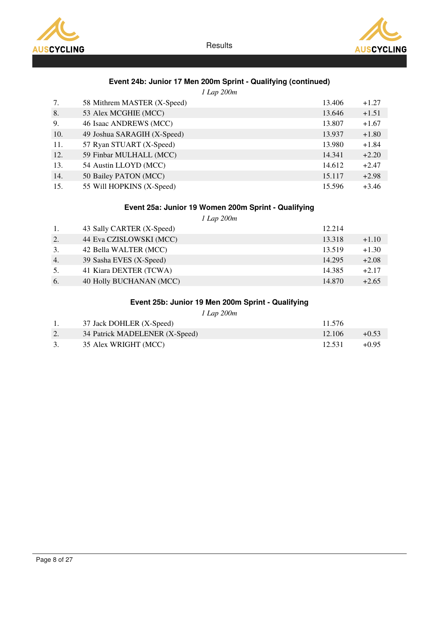



# Event 24b: Junior 17 Men 200m Sprint - Qualifying (continued)

1 Lap 200m

| 7.  | 58 Mithrem MASTER (X-Speed) | 13.406 | $+1.27$ |
|-----|-----------------------------|--------|---------|
| 8.  | 53 Alex MCGHIE (MCC)        | 13.646 | $+1.51$ |
| 9.  | 46 Isaac ANDREWS (MCC)      | 13.807 | $+1.67$ |
| 10. | 49 Joshua SARAGIH (X-Speed) | 13.937 | $+1.80$ |
| 11. | 57 Ryan STUART (X-Speed)    | 13.980 | $+1.84$ |
| 12. | 59 Finbar MULHALL (MCC)     | 14.341 | $+2.20$ |
| 13. | 54 Austin LLOYD (MCC)       | 14.612 | $+2.47$ |
| 14. | 50 Bailey PATON (MCC)       | 15.117 | $+2.98$ |
| 15. | 55 Will HOPKINS (X-Speed)   | 15.596 | $+3.46$ |

# Event 25a: Junior 19 Women 200m Sprint - Qualifying

1 Lap 200m

| 1. | 43 Sally CARTER (X-Speed) | 12.214 |         |
|----|---------------------------|--------|---------|
| 2. | 44 Eva CZISLOWSKI (MCC)   | 13.318 | $+1.10$ |
| 3. | 42 Bella WALTER (MCC)     | 13.519 | $+1.30$ |
| 4. | 39 Sasha EVES (X-Speed)   | 14.295 | $+2.08$ |
| 5. | 41 Kiara DEXTER (TCWA)    | 14.385 | $+2.17$ |
| 6. | 40 Holly BUCHANAN (MCC)   | 14.870 | $+2.65$ |

# Event 25b: Junior 19 Men 200m Sprint - Qualifying

1 Lap 200m

|    | 37 Jack DOHLER (X-Speed)       | 11.576 |         |
|----|--------------------------------|--------|---------|
|    | 34 Patrick MADELENER (X-Speed) | 12.106 | $+0.53$ |
| 3. | 35 Alex WRIGHT (MCC)           | 12.531 | $+0.95$ |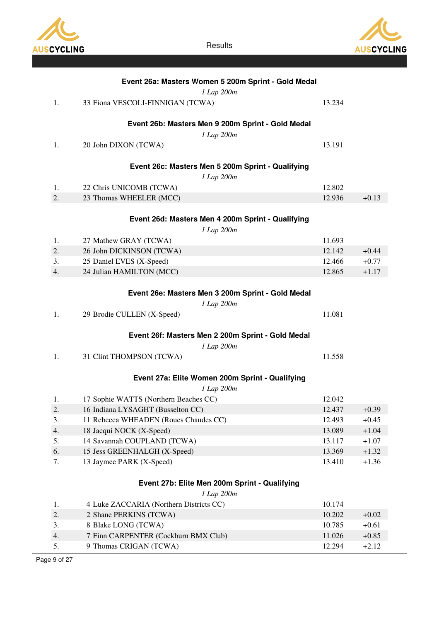



|          | Event 26a: Masters Women 5 200m Sprint - Gold Medal<br>1 Lap 200m |                  |                    |
|----------|-------------------------------------------------------------------|------------------|--------------------|
| 1.       | 33 Fiona VESCOLI-FINNIGAN (TCWA)                                  | 13.234           |                    |
|          |                                                                   |                  |                    |
|          | Event 26b: Masters Men 9 200m Sprint - Gold Medal                 |                  |                    |
| 1.       | 1 Lap 200m<br>20 John DIXON (TCWA)                                | 13.191           |                    |
|          |                                                                   |                  |                    |
|          | Event 26c: Masters Men 5 200m Sprint - Qualifying                 |                  |                    |
|          | 1 Lap 200m                                                        |                  |                    |
| 1.<br>2. | 22 Chris UNICOMB (TCWA)<br>23 Thomas WHEELER (MCC)                | 12.802<br>12.936 | $+0.13$            |
|          |                                                                   |                  |                    |
|          | Event 26d: Masters Men 4 200m Sprint - Qualifying                 |                  |                    |
|          | 1 Lap 200m                                                        |                  |                    |
| 1.       | 27 Mathew GRAY (TCWA)                                             | 11.693           |                    |
| 2.       | 26 John DICKINSON (TCWA)                                          | 12.142           | $+0.44$            |
| 3.       | 25 Daniel EVES (X-Speed)                                          | 12.466           | $+0.77$            |
| 4.       | 24 Julian HAMILTON (MCC)                                          | 12.865           | $+1.17$            |
|          |                                                                   |                  |                    |
|          | Event 26e: Masters Men 3 200m Sprint - Gold Medal                 |                  |                    |
|          | 1 Lap 200m                                                        |                  |                    |
| 1.       | 29 Brodie CULLEN (X-Speed)                                        | 11.081           |                    |
|          | Event 26f: Masters Men 2 200m Sprint - Gold Medal                 |                  |                    |
|          | 1 Lap 200m                                                        |                  |                    |
| 1.       | 31 Clint THOMPSON (TCWA)                                          | 11.558           |                    |
|          |                                                                   |                  |                    |
|          | Event 27a: Elite Women 200m Sprint - Qualifying                   |                  |                    |
|          | 1 Lap 200m                                                        |                  |                    |
| 1.       | 17 Sophie WATTS (Northern Beaches CC)                             | 12.042           |                    |
| 2.       | 16 Indiana LYSAGHT (Busselton CC)                                 | 12.437           | $+0.39$            |
| 3.<br>4. | 11 Rebecca WHEADEN (Roues Chaudes CC)<br>18 Jacqui NOCK (X-Speed) | 12.493<br>13.089 | $+0.45$<br>$+1.04$ |
| 5.       | 14 Savannah COUPLAND (TCWA)                                       | 13.117           | $+1.07$            |
| 6.       | 15 Jess GREENHALGH (X-Speed)                                      | 13.369           | $+1.32$            |
| 7.       | 13 Jaymee PARK (X-Speed)                                          | 13.410           | $+1.36$            |
|          |                                                                   |                  |                    |
|          | Event 27b: Elite Men 200m Sprint - Qualifying                     |                  |                    |
|          | 1 Lap 200m                                                        |                  |                    |
| 1.       | 4 Luke ZACCARIA (Northern Districts CC)                           | 10.174           |                    |
| 2.       | 2 Shane PERKINS (TCWA)                                            | 10.202           | $+0.02$            |
| 3.       | 8 Blake LONG (TCWA)                                               | 10.785           | $+0.61$            |
| 4.       | 7 Finn CARPENTER (Cockburn BMX Club)                              | 11.026           | $+0.85$            |
| 5.       | 9 Thomas CRIGAN (TCWA)                                            | 12.294           | $+2.12$            |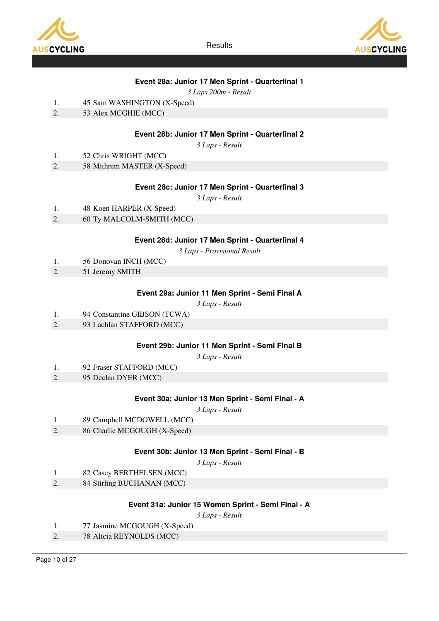



# Event 28a: Junior 17 Men Sprint - Quarterfinal 1

3 Laps 200m - Result

- 1. 45 Sam WASHINGTON (X-Speed)
- 2. 53 Alex MCGHIE (MCC)

### Event 28b: Junior 17 Men Sprint - Quarterfinal 2

3 Laps - Result

- 1. 52 Chris WRIGHT (MCC)
- 2. 58 Mithrem MASTER (X-Speed)

### Event 28c: Junior 17 Men Sprint - Quarterfinal 3

3 Laps - Result

- 1. 48 Koen HARPER (X-Speed)
- 2. 60 Ty MALCOLM-SMITH (MCC)

### Event 28d: Junior 17 Men Sprint - Quarterfinal 4

3 Laps - Provisional Result

- 1. 56 Donovan INCH (MCC)
- 2. 51 Jeremy SMITH

#### Event 29a: Junior 11 Men Sprint - Semi Final A

3 Laps - Result

- 1. 94 Constantine GIBSON (TCWA)
- 2. 93 Lachlan STAFFORD (MCC)

#### Event 29b: Junior 11 Men Sprint - Semi Final B

3 Laps - Result

- 1. 92 Fraser STAFFORD (MCC)
- 2. 95 Declan DYER (MCC)

#### Event 30a: Junior 13 Men Sprint - Semi Final - A

3 Laps - Result

| 89 Campbell MCDOWELL (MCC)<br>1. |  |
|----------------------------------|--|
|----------------------------------|--|

2. 86 Charlie MCGOUGH (X-Speed)

#### Event 30b: Junior 13 Men Sprint - Semi Final - B

3 Laps - Result

- 1. 82 Casey BERTHELSEN (MCC)
- 2. 84 Stirling BUCHANAN (MCC)

#### Event 31a: Junior 15 Women Sprint - Semi Final - A

- 1. 77 Jasmine MCGOUGH (X-Speed)
- 2. 78 Alicia REYNOLDS (MCC)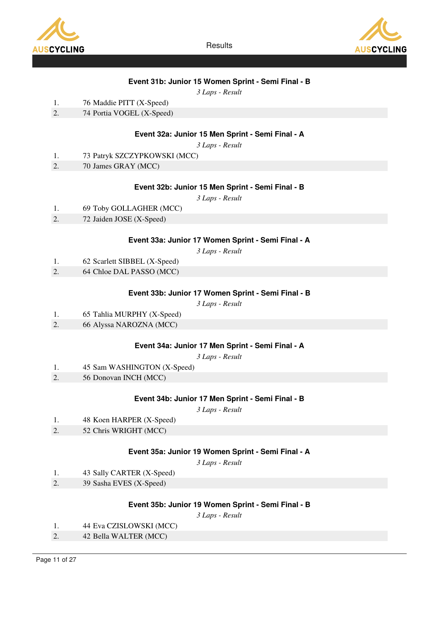



### Event 31b: Junior 15 Women Sprint - Semi Final - B

3 Laps - Result

- 1. 76 Maddie PITT (X-Speed)
- 2. 74 Portia VOGEL (X-Speed)

### Event 32a: Junior 15 Men Sprint - Semi Final - A

3 Laps - Result

- 1. 73 Patryk SZCZYPKOWSKI (MCC)
- 2. 70 James GRAY (MCC)

#### Event 32b: Junior 15 Men Sprint - Semi Final - B

3 Laps - Result

- 1. 69 Toby GOLLAGHER (MCC)
- 2. 72 Jaiden JOSE (X-Speed)

#### Event 33a: Junior 17 Women Sprint - Semi Final - A

3 Laps - Result

- 1. 62 Scarlett SIBBEL (X-Speed)
- 2. 64 Chloe DAL PASSO (MCC)

#### Event 33b: Junior 17 Women Sprint - Semi Final - B

3 Laps - Result

- 1. 65 Tahlia MURPHY (X-Speed)
- 2. 66 Alyssa NAROZNA (MCC)

#### Event 34a: Junior 17 Men Sprint - Semi Final - A

3 Laps - Result

- 1. 45 Sam WASHINGTON (X-Speed)
- 2. 56 Donovan INCH (MCC)

#### Event 34b: Junior 17 Men Sprint - Semi Final - B

3 Laps - Result

- 1. 48 Koen HARPER (X-Speed)
- 2. 52 Chris WRIGHT (MCC)

#### Event 35a: Junior 19 Women Sprint - Semi Final - A

3 Laps - Result

- 1. 43 Sally CARTER (X-Speed)
- 2. 39 Sasha EVES (X-Speed)

### Event 35b: Junior 19 Women Sprint - Semi Final - B

- 1. 44 Eva CZISLOWSKI (MCC)
- 2. 42 Bella WALTER (MCC)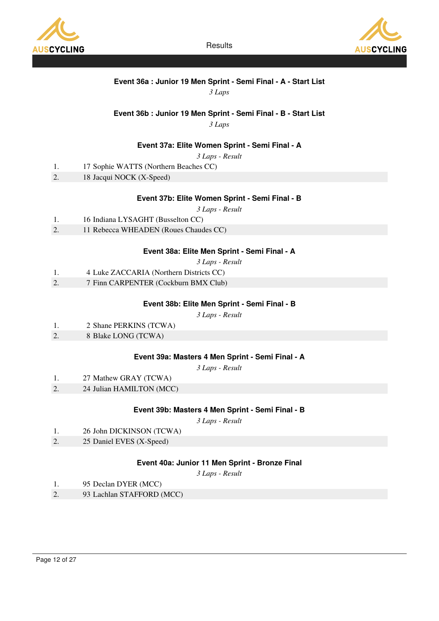



# Event 36a : Junior 19 Men Sprint - Semi Final - A - Start List

3 Laps

# Event 36b : Junior 19 Men Sprint - Semi Final - B - Start List

3 Laps

### Event 37a: Elite Women Sprint - Semi Final - A

3 Laps - Result

- 1. 17 Sophie WATTS (Northern Beaches CC)
- 2. 18 Jacqui NOCK (X-Speed)

#### Event 37b: Elite Women Sprint - Semi Final - B

3 Laps - Result

- 1. 16 Indiana LYSAGHT (Busselton CC)
- 2. 11 Rebecca WHEADEN (Roues Chaudes CC)

#### Event 38a: Elite Men Sprint - Semi Final - A

3 Laps - Result

- 1. 4 Luke ZACCARIA (Northern Districts CC)
- 2. 7 Finn CARPENTER (Cockburn BMX Club)

#### Event 38b: Elite Men Sprint - Semi Final - B

3 Laps - Result

- 1. 2 Shane PERKINS (TCWA)
- 2. 8 Blake LONG (TCWA)

#### Event 39a: Masters 4 Men Sprint - Semi Final - A

3 Laps - Result

- 1. 27 Mathew GRAY (TCWA)
- 2. 24 Julian HAMILTON (MCC)

### Event 39b: Masters 4 Men Sprint - Semi Final - B

3 Laps - Result

- 1. 26 John DICKINSON (TCWA)
- 2. 25 Daniel EVES (X-Speed)

#### Event 40a: Junior 11 Men Sprint - Bronze Final

- 1. 95 Declan DYER (MCC)
- 2. 93 Lachlan STAFFORD (MCC)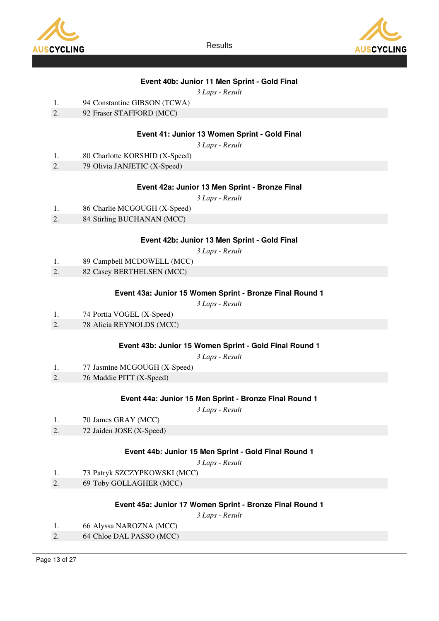

**AUSCYCLING** 

**Results** 

# Event 40b: Junior 11 Men Sprint - Gold Final

3 Laps - Result

- 1. 94 Constantine GIBSON (TCWA)
- 2. 92 Fraser STAFFORD (MCC)

### Event 41: Junior 13 Women Sprint - Gold Final

3 Laps - Result

- 1. 80 Charlotte KORSHID (X-Speed)
- 2. 79 Olivia JANJETIC (X-Speed)

### Event 42a: Junior 13 Men Sprint - Bronze Final

3 Laps - Result

- 1. 86 Charlie MCGOUGH (X-Speed)
- 2. 84 Stirling BUCHANAN (MCC)

#### Event 42b: Junior 13 Men Sprint - Gold Final

3 Laps - Result

- 1. 89 Campbell MCDOWELL (MCC)
- 2. 82 Casey BERTHELSEN (MCC)

#### Event 43a: Junior 15 Women Sprint - Bronze Final Round 1

3 Laps - Result

- 1. 74 Portia VOGEL (X-Speed)
- 2. 78 Alicia REYNOLDS (MCC)

#### Event 43b: Junior 15 Women Sprint - Gold Final Round 1

3 Laps - Result

- 1. 77 Jasmine MCGOUGH (X-Speed)
- 2. 76 Maddie PITT (X-Speed)

#### Event 44a: Junior 15 Men Sprint - Bronze Final Round 1

3 Laps - Result

- 1. 70 James GRAY (MCC)
- 2. 72 Jaiden JOSE (X-Speed)

#### Event 44b: Junior 15 Men Sprint - Gold Final Round 1

3 Laps - Result

- 1. 73 Patryk SZCZYPKOWSKI (MCC)
- 2. 69 Toby GOLLAGHER (MCC)

#### Event 45a: Junior 17 Women Sprint - Bronze Final Round 1

- 1. 66 Alyssa NAROZNA (MCC)
- 2. 64 Chloe DAL PASSO (MCC)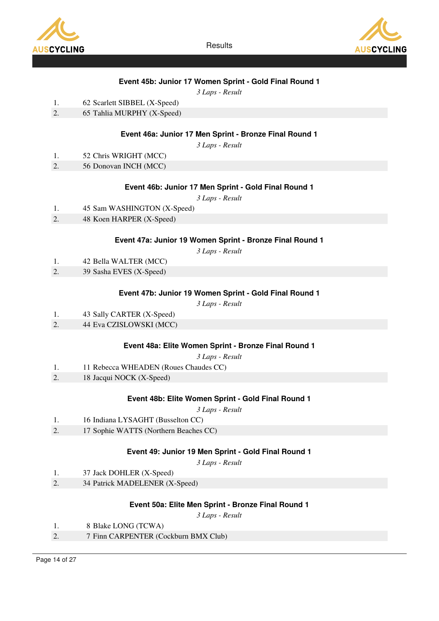

**AUSCYCLING** 

**Results** 

### Event 45b: Junior 17 Women Sprint - Gold Final Round 1

3 Laps - Result

- 1. 62 Scarlett SIBBEL (X-Speed)
- 2. 65 Tahlia MURPHY (X-Speed)

### Event 46a: Junior 17 Men Sprint - Bronze Final Round 1

3 Laps - Result

- 1. 52 Chris WRIGHT (MCC)
- 2. 56 Donovan INCH (MCC)

#### Event 46b: Junior 17 Men Sprint - Gold Final Round 1

3 Laps - Result

- 1. 45 Sam WASHINGTON (X-Speed)
- 2. 48 Koen HARPER (X-Speed)

#### Event 47a: Junior 19 Women Sprint - Bronze Final Round 1

3 Laps - Result

- 1. 42 Bella WALTER (MCC)
- 2. 39 Sasha EVES (X-Speed)

#### Event 47b: Junior 19 Women Sprint - Gold Final Round 1

3 Laps - Result

- 1. 43 Sally CARTER (X-Speed)
- 2. 44 Eva CZISLOWSKI (MCC)

#### Event 48a: Elite Women Sprint - Bronze Final Round 1

3 Laps - Result

- 1. 11 Rebecca WHEADEN (Roues Chaudes CC)
- 2. 18 Jacqui NOCK (X-Speed)

#### Event 48b: Elite Women Sprint - Gold Final Round 1

3 Laps - Result

| 1. | 16 Indiana LYSAGHT (Busselton CC) |  |  |
|----|-----------------------------------|--|--|
|----|-----------------------------------|--|--|

2. 17 Sophie WATTS (Northern Beaches CC)

#### Event 49: Junior 19 Men Sprint - Gold Final Round 1

3 Laps - Result

- 1. 37 Jack DOHLER (X-Speed)
- 2. 34 Patrick MADELENER (X-Speed)

#### Event 50a: Elite Men Sprint - Bronze Final Round 1

- 1. 8 Blake LONG (TCWA)
- 2. 7 Finn CARPENTER (Cockburn BMX Club)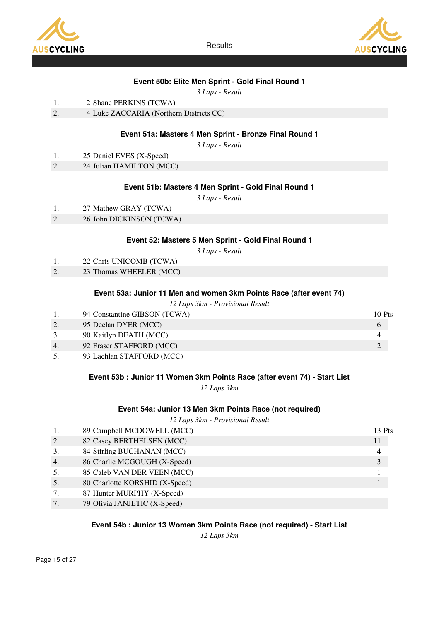



### Event 50b: Elite Men Sprint - Gold Final Round 1

3 Laps - Result

- 1. 2 Shane PERKINS (TCWA)
- 2. 4 Luke ZACCARIA (Northern Districts CC)

### Event 51a: Masters 4 Men Sprint - Bronze Final Round 1

3 Laps - Result

- 1. 25 Daniel EVES (X-Speed)
- 2. 24 Julian HAMILTON (MCC)

#### Event 51b: Masters 4 Men Sprint - Gold Final Round 1

3 Laps - Result

2. 26 John DICKINSON (TCWA)

### Event 52: Masters 5 Men Sprint - Gold Final Round 1

3 Laps - Result

- 1. 22 Chris UNICOMB (TCWA)
- 2. 23 Thomas WHEELER (MCC)

#### Event 53a: Junior 11 Men and women 3km Points Race (after event 74)

12 Laps 3km - Provisional Result

|    | 94 Constantine GIBSON (TCWA)                                               | 10 Pts |
|----|----------------------------------------------------------------------------|--------|
|    | 95 Declan DYER (MCC)                                                       |        |
| 3. | 90 Kaitlyn DEATH (MCC)                                                     |        |
| 4. | 92 Fraser STAFFORD (MCC)                                                   |        |
|    | $\alpha$ m $\beta$ month $\alpha$ $\alpha$<br>$\bigcap_{n=1}^{\infty}$ iii |        |

5. 93 Lachlan STAFFORD (MCC)

#### Event 53b : Junior 11 Women 3km Points Race (after event 74) - Start List

12 Laps 3km

#### Event 54a: Junior 13 Men 3km Points Race (not required)

12 Laps 3km - Provisional Result

|                  | 89 Campbell MCDOWELL (MCC)     | 13 Pts |
|------------------|--------------------------------|--------|
| 2.               | 82 Casey BERTHELSEN (MCC)      | 11     |
| 3.               | 84 Stirling BUCHANAN (MCC)     |        |
| $\overline{4}$ . | 86 Charlie MCGOUGH (X-Speed)   | 3      |
| 5.               | 85 Caleb VAN DER VEEN (MCC)    |        |
| 5.               | 80 Charlotte KORSHID (X-Speed) |        |
|                  | 87 Hunter MURPHY (X-Speed)     |        |
|                  | 79 Olivia JANJETIC (X-Speed)   |        |

#### Event 54b : Junior 13 Women 3km Points Race (not required) - Start List

12 Laps 3km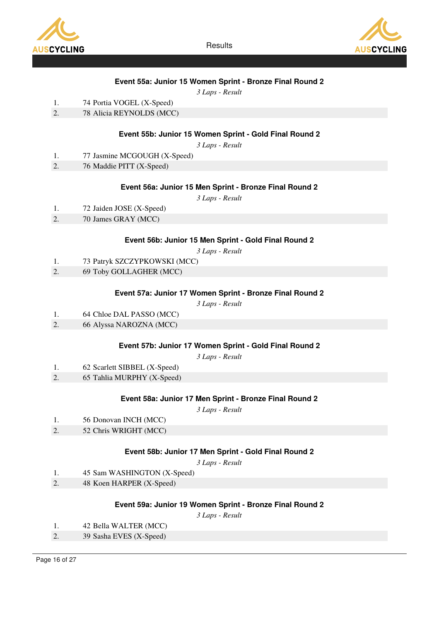



### Event 55a: Junior 15 Women Sprint - Bronze Final Round 2

3 Laps - Result

| 1. |  | 74 Portia VOGEL (X-Speed) |
|----|--|---------------------------|
|    |  |                           |

2. 78 Alicia REYNOLDS (MCC)

### Event 55b: Junior 15 Women Sprint - Gold Final Round 2

3 Laps - Result

- 1. 77 Jasmine MCGOUGH (X-Speed)
- 2. 76 Maddie PITT (X-Speed)

#### Event 56a: Junior 15 Men Sprint - Bronze Final Round 2

3 Laps - Result

- 1. 72 Jaiden JOSE (X-Speed)
- 2. 70 James GRAY (MCC)

#### Event 56b: Junior 15 Men Sprint - Gold Final Round 2

3 Laps - Result

- 1. 73 Patryk SZCZYPKOWSKI (MCC)
- 2. 69 Toby GOLLAGHER (MCC)

#### Event 57a: Junior 17 Women Sprint - Bronze Final Round 2

3 Laps - Result

- 1. 64 Chloe DAL PASSO (MCC)
- 2. 66 Alyssa NAROZNA (MCC)

#### Event 57b: Junior 17 Women Sprint - Gold Final Round 2

3 Laps - Result

- 1. 62 Scarlett SIBBEL (X-Speed)
- 2. 65 Tahlia MURPHY (X-Speed)

#### Event 58a: Junior 17 Men Sprint - Bronze Final Round 2

3 Laps - Result

- 1. 56 Donovan INCH (MCC)
- 2. 52 Chris WRIGHT (MCC)

#### Event 58b: Junior 17 Men Sprint - Gold Final Round 2

3 Laps - Result

- 1. 45 Sam WASHINGTON (X-Speed)
- 2. 48 Koen HARPER (X-Speed)

#### Event 59a: Junior 19 Women Sprint - Bronze Final Round 2

- 1. 42 Bella WALTER (MCC)
- 2. 39 Sasha EVES (X-Speed)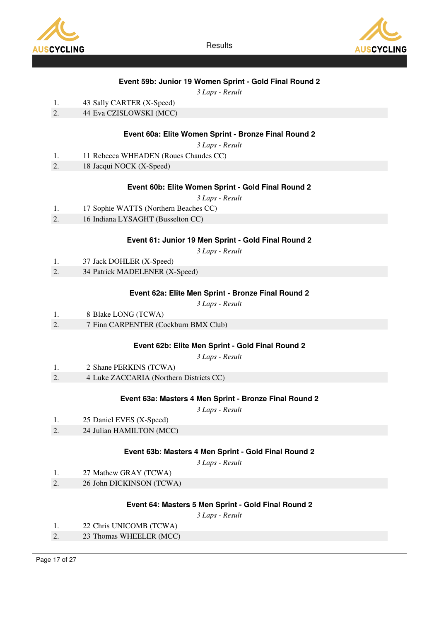



### Event 59b: Junior 19 Women Sprint - Gold Final Round 2

3 Laps - Result

- 1. 43 Sally CARTER (X-Speed)
- 2. 44 Eva CZISLOWSKI (MCC)

### Event 60a: Elite Women Sprint - Bronze Final Round 2

3 Laps - Result

- 1. 11 Rebecca WHEADEN (Roues Chaudes CC)
- 2. 18 Jacqui NOCK (X-Speed)

#### Event 60b: Elite Women Sprint - Gold Final Round 2

3 Laps - Result

- 1. 17 Sophie WATTS (Northern Beaches CC)
- 2. 16 Indiana LYSAGHT (Busselton CC)

#### Event 61: Junior 19 Men Sprint - Gold Final Round 2

3 Laps - Result

- 1. 37 Jack DOHLER (X-Speed)
- 2. 34 Patrick MADELENER (X-Speed)

#### Event 62a: Elite Men Sprint - Bronze Final Round 2

3 Laps - Result

- 1. 8 Blake LONG (TCWA)
- 2. 7 Finn CARPENTER (Cockburn BMX Club)

#### Event 62b: Elite Men Sprint - Gold Final Round 2

3 Laps - Result

- 1. 2 Shane PERKINS (TCWA)
- 2. 4 Luke ZACCARIA (Northern Districts CC)

#### Event 63a: Masters 4 Men Sprint - Bronze Final Round 2

3 Laps - Result

- 1. 25 Daniel EVES (X-Speed)
- 2. 24 Julian HAMILTON (MCC)

#### Event 63b: Masters 4 Men Sprint - Gold Final Round 2

3 Laps - Result

- 1. 27 Mathew GRAY (TCWA)
- 2. 26 John DICKINSON (TCWA)

#### Event 64: Masters 5 Men Sprint - Gold Final Round 2

- 1. 22 Chris UNICOMB (TCWA)
- 2. 23 Thomas WHEELER (MCC)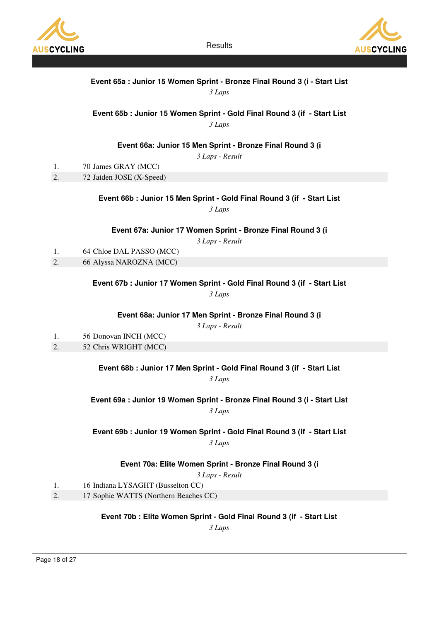



# Event 65a : Junior 15 Women Sprint - Bronze Final Round 3 (i - Start List

3 Laps

### Event 65b : Junior 15 Women Sprint - Gold Final Round 3 (if - Start List

3 Laps

### Event 66a: Junior 15 Men Sprint - Bronze Final Round 3 (i

3 Laps - Result

- 1. 70 James GRAY (MCC)
- 2. 72 Jaiden JOSE (X-Speed)

### Event 66b : Junior 15 Men Sprint - Gold Final Round 3 (if - Start List

3 Laps

Event 67a: Junior 17 Women Sprint - Bronze Final Round 3 (i

3 Laps - Result

1. 64 Chloe DAL PASSO (MCC)

2. 66 Alyssa NAROZNA (MCC)

Event 67b : Junior 17 Women Sprint - Gold Final Round 3 (if - Start List

3 Laps

Event 68a: Junior 17 Men Sprint - Bronze Final Round 3 (i

3 Laps - Result

1. 56 Donovan INCH (MCC) 2. 52 Chris WRIGHT (MCC)

Event 68b : Junior 17 Men Sprint - Gold Final Round 3 (if - Start List

3 Laps

Event 69a : Junior 19 Women Sprint - Bronze Final Round 3 (i - Start List

3 Laps

Event 69b : Junior 19 Women Sprint - Gold Final Round 3 (if - Start List 3 Laps

Event 70a: Elite Women Sprint - Bronze Final Round 3 (i

3 Laps - Result

- 1. 16 Indiana LYSAGHT (Busselton CC)
- 2. 17 Sophie WATTS (Northern Beaches CC)

Event 70b : Elite Women Sprint - Gold Final Round 3 (if - Start List

3 Laps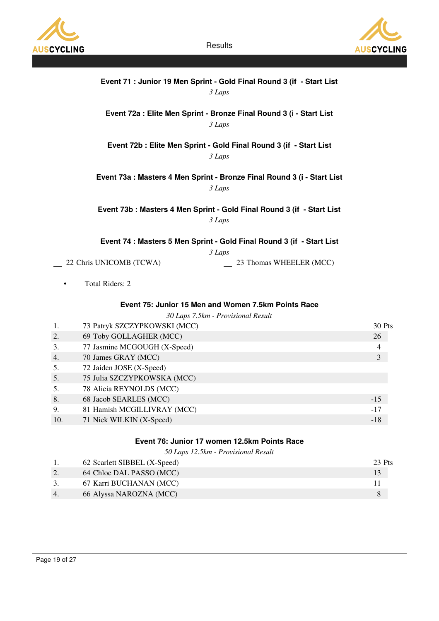



|    |                              | Event 71 : Junior 19 Men Sprint - Gold Final Round 3 (if - Start List<br>3 Laps           |                |
|----|------------------------------|-------------------------------------------------------------------------------------------|----------------|
|    |                              | Event 72a : Elite Men Sprint - Bronze Final Round 3 (i - Start List<br>3 Laps             |                |
|    |                              | Event 72b : Elite Men Sprint - Gold Final Round 3 (if - Start List<br>3 Laps              |                |
|    |                              | Event 73a : Masters 4 Men Sprint - Bronze Final Round 3 (i - Start List<br>3 Laps         |                |
|    |                              | Event 73b : Masters 4 Men Sprint - Gold Final Round 3 (if - Start List<br>3 Laps          |                |
|    |                              | Event 74 : Masters 5 Men Sprint - Gold Final Round 3 (if - Start List                     |                |
|    | 22 Chris UNICOMB (TCWA)      | 3 Laps<br>23 Thomas WHEELER (MCC)                                                         |                |
|    | <b>Total Riders: 2</b>       |                                                                                           |                |
|    |                              | Event 75: Junior 15 Men and Women 7.5km Points Race<br>30 Laps 7.5km - Provisional Result |                |
| 1. | 73 Patryk SZCZYPKOWSKI (MCC) |                                                                                           | 30 Pts         |
| 2. | 69 Toby GOLLAGHER (MCC)      |                                                                                           | 26             |
| 3. | 77 Jasmine MCGOUGH (X-Speed) |                                                                                           | $\overline{4}$ |
| 4. | 70 James GRAY (MCC)          |                                                                                           | $\overline{3}$ |
| 5. | 72 Jaiden JOSE (X-Speed)     |                                                                                           |                |
| 5. | 75 Julia SZCZYPKOWSKA (MCC)  |                                                                                           |                |
| 5. | 78 Alicia REYNOLDS (MCC)     |                                                                                           |                |
| 8. | 68 Jacob SEARLES (MCC)       |                                                                                           | $-15$          |
| 9. | 81 Hamish MCGILLIVRAY (MCC)  |                                                                                           | $-17$          |

10. 71 Nick WILKIN (X-Speed) -18

# Event 76: Junior 17 women 12.5km Points Race

50 Laps 12.5km - Provisional Result

|    | 62 Scarlett SIBBEL (X-Speed) | 23 Pts |
|----|------------------------------|--------|
|    | 64 Chloe DAL PASSO (MCC)     |        |
|    | 67 Karri BUCHANAN (MCC)      |        |
| 4. | 66 Alyssa NAROZNA (MCC)      |        |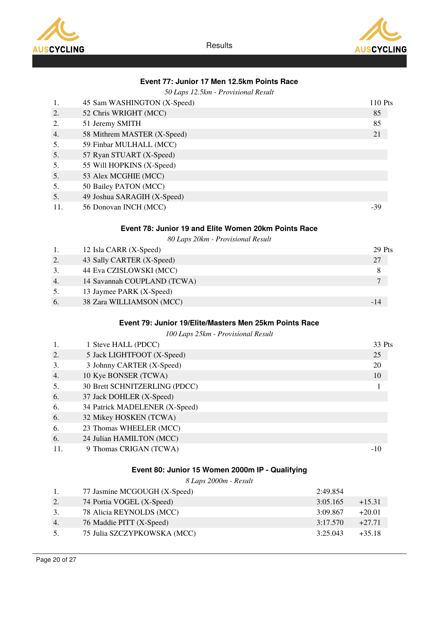



### Event 77: Junior 17 Men 12.5km Points Race

| 1.       | 45 Sam WASHINGTON (X-Speed)                            |                      | 110 Pts              |
|----------|--------------------------------------------------------|----------------------|----------------------|
| 2.       | 52 Chris WRIGHT (MCC)                                  |                      | 85                   |
| 2.       | 51 Jeremy SMITH                                        |                      | 85                   |
| 4.       | 58 Mithrem MASTER (X-Speed)                            |                      | 21                   |
| 5.       | 59 Finbar MULHALL (MCC)                                |                      |                      |
| 5.       | 57 Ryan STUART (X-Speed)                               |                      |                      |
| 5.       | 55 Will HOPKINS (X-Speed)                              |                      |                      |
| 5.       | 53 Alex MCGHIE (MCC)                                   |                      |                      |
| 5.       | 50 Bailey PATON (MCC)                                  |                      |                      |
| 5.       | 49 Joshua SARAGIH (X-Speed)                            |                      |                      |
| 11.      | 56 Donovan INCH (MCC)                                  |                      | $-39$                |
|          | Event 78: Junior 19 and Elite Women 20km Points Race   |                      |                      |
|          | 80 Laps 20km - Provisional Result                      |                      |                      |
| 1.       | 12 Isla CARR (X-Speed)                                 |                      | 29 Pts               |
| 2.       | 43 Sally CARTER (X-Speed)                              |                      | 27                   |
| 3.       | 44 Eva CZISLOWSKI (MCC)                                |                      | 8                    |
| 4.       | 14 Savannah COUPLAND (TCWA)                            |                      | $\overline{7}$       |
| 5.       | 13 Jaymee PARK (X-Speed)                               |                      |                      |
| 6.       | 38 Zara WILLIAMSON (MCC)                               |                      | $-14$                |
|          |                                                        |                      |                      |
|          | Event 79: Junior 19/Elite/Masters Men 25km Points Race |                      |                      |
|          |                                                        |                      |                      |
|          | 100 Laps 25km - Provisional Result                     |                      |                      |
| 1.       | 1 Steve HALL (PDCC)                                    |                      | 33 Pts               |
| 2.       | 5 Jack LIGHTFOOT (X-Speed)                             |                      | 25                   |
| 3.       | 3 Johnny CARTER (X-Speed)                              |                      | 20                   |
| 4.       | 10 Kye BONSER (TCWA)                                   |                      | 10                   |
| 5.       | 30 Brett SCHNITZERLING (PDCC)                          |                      | 1                    |
| 6.       | 37 Jack DOHLER (X-Speed)                               |                      |                      |
| 6.       | 34 Patrick MADELENER (X-Speed)                         |                      |                      |
| 6.       | 32 Mikey HOSKEN (TCWA)                                 |                      |                      |
| 6.       | 23 Thomas WHEELER (MCC)                                |                      |                      |
| 6.       | 24 Julian HAMILTON (MCC)                               |                      |                      |
| 11.      | 9 Thomas CRIGAN (TCWA)                                 |                      | $-10$                |
|          |                                                        |                      |                      |
|          | Event 80: Junior 15 Women 2000m IP - Qualifying        |                      |                      |
| 1.       | 8 Laps 2000m - Result                                  |                      |                      |
|          | 77 Jasmine MCGOUGH (X-Speed)                           | 2:49.854             |                      |
| 2.<br>3. | 74 Portia VOGEL (X-Speed)                              | 3:05.165             | $+15.31$             |
| 4.       | 78 Alicia REYNOLDS (MCC)<br>76 Maddie PITT (X-Speed)   | 3:09.867<br>3:17.570 | $+20.01$<br>$+27.71$ |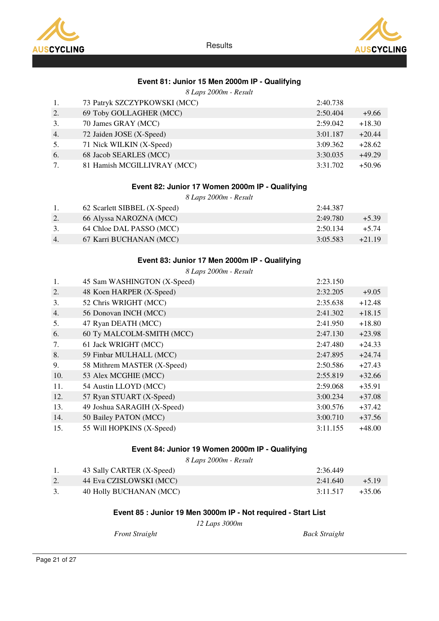



# Event 81: Junior 15 Men 2000m IP - Qualifying

|  |  |  | 8 Laps 2000m - Result |  |  |
|--|--|--|-----------------------|--|--|
|--|--|--|-----------------------|--|--|

| 1. | 73 Patryk SZCZYPKOWSKI (MCC) | 2:40.738 |          |
|----|------------------------------|----------|----------|
| 2. | 69 Toby GOLLAGHER (MCC)      | 2:50.404 | $+9.66$  |
| 3. | 70 James GRAY (MCC)          | 2:59.042 | $+18.30$ |
| 4. | 72 Jaiden JOSE (X-Speed)     | 3:01.187 | $+20.44$ |
| 5. | 71 Nick WILKIN (X-Speed)     | 3:09.362 | $+28.62$ |
| 6. | 68 Jacob SEARLES (MCC)       | 3:30.035 | $+49.29$ |
| 7. | 81 Hamish MCGILLIVRAY (MCC)  | 3:31.702 | $+50.96$ |

#### Event 82: Junior 17 Women 2000m IP - Qualifying

8 Laps 2000m - Result

|    | 62 Scarlett SIBBEL (X-Speed) | 2:44.387 |          |
|----|------------------------------|----------|----------|
|    | 66 Alyssa NAROZNA (MCC)      | 2:49.780 | $+5.39$  |
|    | 64 Chloe DAL PASSO (MCC)     | 2:50.134 | $+5.74$  |
| 4. | 67 Karri BUCHANAN (MCC)      | 3:05.583 | $+21.19$ |

### Event 83: Junior 17 Men 2000m IP - Qualifying

8 Laps 2000m - Result

| 1.  | 45 Sam WASHINGTON (X-Speed) | 2:23.150 |          |
|-----|-----------------------------|----------|----------|
| 2.  | 48 Koen HARPER (X-Speed)    | 2:32.205 | $+9.05$  |
| 3.  | 52 Chris WRIGHT (MCC)       | 2:35.638 | $+12.48$ |
| 4.  | 56 Donovan INCH (MCC)       | 2:41.302 | $+18.15$ |
| 5.  | 47 Ryan DEATH (MCC)         | 2:41.950 | $+18.80$ |
| 6.  | 60 Ty MALCOLM-SMITH (MCC)   | 2:47.130 | $+23.98$ |
| 7.  | 61 Jack WRIGHT (MCC)        | 2:47.480 | $+24.33$ |
| 8.  | 59 Finbar MULHALL (MCC)     | 2:47.895 | $+24.74$ |
| 9.  | 58 Mithrem MASTER (X-Speed) | 2:50.586 | $+27.43$ |
| 10. | 53 Alex MCGHIE (MCC)        | 2:55.819 | $+32.66$ |
| 11. | 54 Austin LLOYD (MCC)       | 2:59.068 | $+35.91$ |
| 12. | 57 Ryan STUART (X-Speed)    | 3:00.234 | $+37.08$ |
| 13. | 49 Joshua SARAGIH (X-Speed) | 3:00.576 | $+37.42$ |
| 14. | 50 Bailey PATON (MCC)       | 3:00.710 | $+37.56$ |
| 15. | 55 Will HOPKINS (X-Speed)   | 3:11.155 | $+48.00$ |

# Event 84: Junior 19 Women 2000m IP - Qualifying

8 Laps 2000m - Result

|    | 43 Sally CARTER (X-Speed) | 2:36.449 |          |
|----|---------------------------|----------|----------|
|    | 44 Eva CZISLOWSKI (MCC)   | 2:41.640 | $+519$   |
| 3. | 40 Holly BUCHANAN (MCC)   | 3:11.517 | $+35.06$ |

# Event 85 : Junior 19 Men 3000m IP - Not required - Start List

12 Laps 3000m

Front Straight Back Straight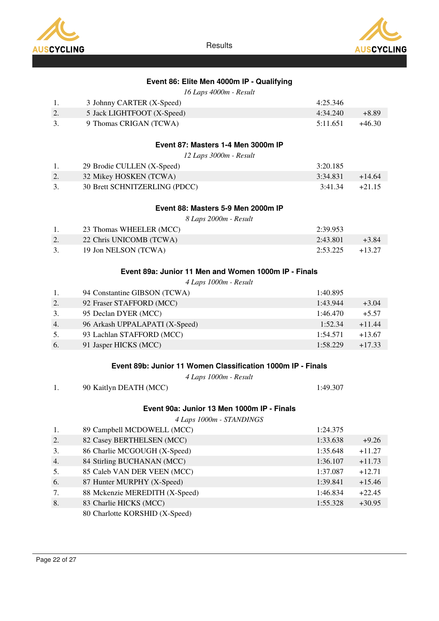



# Event 86: Elite Men 4000m IP - Qualifying

16 Laps 4000m - Result

| -1. | 3 Johnny CARTER (X-Speed)  | 4:25.346 |          |
|-----|----------------------------|----------|----------|
|     | 5 Jack LIGHTFOOT (X-Speed) | 4:34.240 | +8.89    |
| 3.  | 9 Thomas CRIGAN (TCWA)     | 5:11.651 | $+46.30$ |
|     |                            |          |          |

# Event 87: Masters 1-4 Men 3000m IP

12 Laps 3000m - Result

| 29 Brodie CULLEN (X-Speed)    | 3:20.185 |          |
|-------------------------------|----------|----------|
| 32 Mikey HOSKEN (TCWA)        | 3:34.831 | $+14.64$ |
| 30 Brett SCHNITZERLING (PDCC) | 3:41.34  | $+21.15$ |

### Event 88: Masters 5-9 Men 2000m IP

8 Laps 2000m - Result

|    | 23 Thomas WHEELER (MCC) | 2:39.953 |          |
|----|-------------------------|----------|----------|
|    | 22 Chris UNICOMB (TCWA) | 2:43.801 | $+3.84$  |
| 3. | 19 Jon NELSON (TCWA)    | 2:53.225 | $+13.27$ |

### Event 89a: Junior 11 Men and Women 1000m IP - Finals

4 Laps 1000m - Result

| 1. | 94 Constantine GIBSON (TCWA)   | 1:40.895 |          |
|----|--------------------------------|----------|----------|
| 2. | 92 Fraser STAFFORD (MCC)       | 1:43.944 | $+3.04$  |
| 3. | 95 Declan DYER (MCC)           | 1:46.470 | $+5.57$  |
| 4. | 96 Arkash UPPALAPATI (X-Speed) | 1:52.34  | $+11.44$ |
| 5. | 93 Lachlan STAFFORD (MCC)      | 1:54.571 | $+13.67$ |
| 6. | 91 Jasper HICKS (MCC)          | 1:58.229 | $+17.33$ |

#### Event 89b: Junior 11 Women Classification 1000m IP - Finals

4 Laps 1000m - Result

| 90 Kaitlyn DEATH (MCC)                     | 1:49.307 |
|--------------------------------------------|----------|
| Event 90a: Junior 13 Men 1000m IP - Finals |          |

4 Laps 1000m - STANDINGS

| 1. | 89 Campbell MCDOWELL (MCC)     | 1:24.375 |          |
|----|--------------------------------|----------|----------|
| 2. | 82 Casey BERTHELSEN (MCC)      | 1:33.638 | $+9.26$  |
| 3. | 86 Charlie MCGOUGH (X-Speed)   | 1:35.648 | $+11.27$ |
| 4. | 84 Stirling BUCHANAN (MCC)     | 1:36.107 | $+11.73$ |
| 5. | 85 Caleb VAN DER VEEN (MCC)    | 1:37.087 | $+12.71$ |
| 6. | 87 Hunter MURPHY (X-Speed)     | 1:39.841 | $+15.46$ |
| 7. | 88 Mckenzie MEREDITH (X-Speed) | 1:46.834 | $+22.45$ |
| 8. | 83 Charlie HICKS (MCC)         | 1:55.328 | $+30.95$ |
|    | 80 Charlotte KORSHID (X-Speed) |          |          |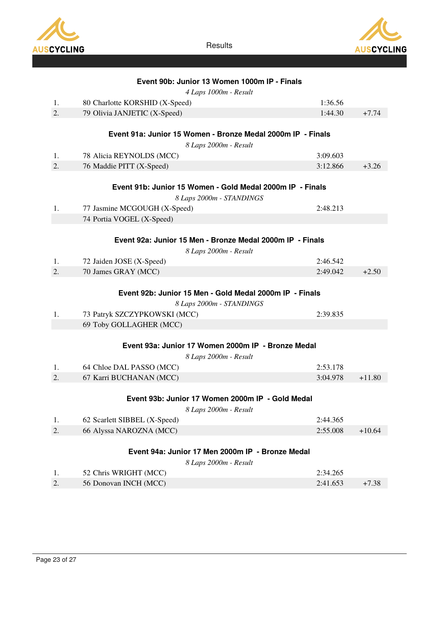

AUSCYCLING

**Results** 

|          |                                                 | Event 90b: Junior 13 Women 1000m IP - Finals                |          |
|----------|-------------------------------------------------|-------------------------------------------------------------|----------|
|          |                                                 | 4 Laps 1000m - Result                                       |          |
| 1.       | 80 Charlotte KORSHID (X-Speed)                  | 1:36.56                                                     |          |
| 2.       | 79 Olivia JANJETIC (X-Speed)                    | 1:44.30                                                     | $+7.74$  |
|          |                                                 |                                                             |          |
|          |                                                 | Event 91a: Junior 15 Women - Bronze Medal 2000m IP - Finals |          |
|          |                                                 | 8 Laps 2000m - Result                                       |          |
| 1.       | 78 Alicia REYNOLDS (MCC)                        | 3:09.603                                                    |          |
| 2.       | 76 Maddie PITT (X-Speed)                        | 3:12.866                                                    | $+3.26$  |
|          |                                                 |                                                             |          |
|          |                                                 | Event 91b: Junior 15 Women - Gold Medal 2000m IP - Finals   |          |
|          |                                                 | 8 Laps 2000m - STANDINGS                                    |          |
| 1.       | 77 Jasmine MCGOUGH (X-Speed)                    | 2:48.213                                                    |          |
|          | 74 Portia VOGEL (X-Speed)                       |                                                             |          |
|          |                                                 | Event 92a: Junior 15 Men - Bronze Medal 2000m IP - Finals   |          |
|          |                                                 |                                                             |          |
|          |                                                 | 8 Laps 2000m - Result<br>2:46.542                           |          |
| 1.<br>2. | 72 Jaiden JOSE (X-Speed)<br>70 James GRAY (MCC) | 2:49.042                                                    | $+2.50$  |
|          |                                                 |                                                             |          |
|          |                                                 | Event 92b: Junior 15 Men - Gold Medal 2000m IP - Finals     |          |
|          |                                                 | 8 Laps 2000m - STANDINGS                                    |          |
| 1.       | 73 Patryk SZCZYPKOWSKI (MCC)                    | 2:39.835                                                    |          |
|          | 69 Toby GOLLAGHER (MCC)                         |                                                             |          |
|          |                                                 |                                                             |          |
|          |                                                 | Event 93a: Junior 17 Women 2000m IP - Bronze Medal          |          |
|          |                                                 | 8 Laps 2000m - Result                                       |          |
| 1.       | 64 Chloe DAL PASSO (MCC)                        | 2:53.178                                                    |          |
| 2.       | 67 Karri BUCHANAN (MCC)                         | 3:04.978                                                    | $+11.80$ |
|          |                                                 |                                                             |          |
|          |                                                 | Event 93b: Junior 17 Women 2000m IP - Gold Medal            |          |
|          |                                                 | 8 Laps 2000m - Result                                       |          |
| 1.       | 62 Scarlett SIBBEL (X-Speed)                    | 2:44.365                                                    |          |
| 2.       | 66 Alyssa NAROZNA (MCC)                         | 2:55.008                                                    | $+10.64$ |
|          |                                                 |                                                             |          |
|          |                                                 | Event 94a: Junior 17 Men 2000m IP - Bronze Medal            |          |
|          |                                                 | 8 Laps 2000m - Result                                       |          |
| 1.       | 52 Chris WRIGHT (MCC)                           | 2:34.265                                                    |          |

2. 56 Donovan INCH (MCC) 2:41.653 +7.38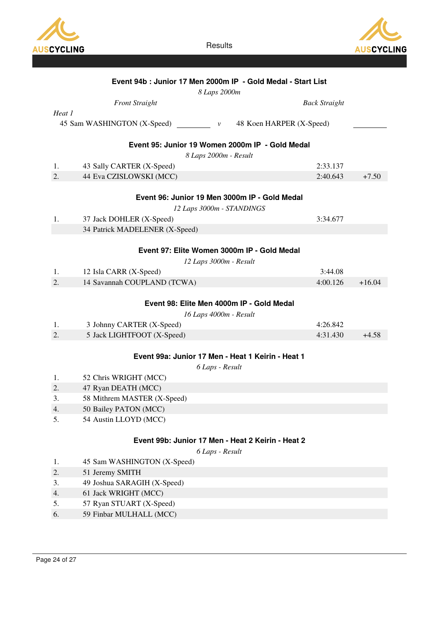



|        | Event 94b : Junior 17 Men 2000m IP - Gold Medal - Start List            |                      |          |
|--------|-------------------------------------------------------------------------|----------------------|----------|
|        | 8 Laps 2000m                                                            |                      |          |
|        | <b>Front Straight</b>                                                   | <b>Back Straight</b> |          |
| Heat 1 |                                                                         |                      |          |
|        | 45 Sam WASHINGTON (X-Speed)<br>48 Koen HARPER (X-Speed)<br>$\mathcal V$ |                      |          |
|        | Event 95: Junior 19 Women 2000m IP - Gold Medal                         |                      |          |
|        |                                                                         |                      |          |
| 1.     | 8 Laps 2000m - Result<br>43 Sally CARTER (X-Speed)                      | 2:33.137             |          |
| 2.     | 44 Eva CZISLOWSKI (MCC)                                                 | 2:40.643             | $+7.50$  |
|        |                                                                         |                      |          |
|        | Event 96: Junior 19 Men 3000m IP - Gold Medal                           |                      |          |
|        | 12 Laps 3000m - STANDINGS                                               |                      |          |
| 1.     | 37 Jack DOHLER (X-Speed)                                                | 3:34.677             |          |
|        | 34 Patrick MADELENER (X-Speed)                                          |                      |          |
|        |                                                                         |                      |          |
|        | Event 97: Elite Women 3000m IP - Gold Medal                             |                      |          |
|        | 12 Laps 3000m - Result                                                  |                      |          |
| 1.     | 12 Isla CARR (X-Speed)                                                  | 3:44.08              |          |
| 2.     | 14 Savannah COUPLAND (TCWA)                                             | 4:00.126             | $+16.04$ |
|        |                                                                         |                      |          |
|        | Event 98: Elite Men 4000m IP - Gold Medal                               |                      |          |
|        | 16 Laps 4000m - Result                                                  |                      |          |
| 1.     | 3 Johnny CARTER (X-Speed)                                               | 4:26.842             |          |
| 2.     | 5 Jack LIGHTFOOT (X-Speed)                                              | 4:31.430             | $+4.58$  |
|        |                                                                         |                      |          |
|        | Event 99a: Junior 17 Men - Heat 1 Keirin - Heat 1                       |                      |          |
|        | 6 Laps - Result                                                         |                      |          |
| 1.     | 52 Chris WRIGHT (MCC)                                                   |                      |          |
| 2.     | 47 Ryan DEATH (MCC)                                                     |                      |          |
| 3.     | 58 Mithrem MASTER (X-Speed)                                             |                      |          |
| 4.     | 50 Bailey PATON (MCC)                                                   |                      |          |
| 5.     | 54 Austin LLOYD (MCC)                                                   |                      |          |
|        |                                                                         |                      |          |
|        | Event 99b: Junior 17 Men - Heat 2 Keirin - Heat 2                       |                      |          |
|        | 6 Laps - Result                                                         |                      |          |
| 1.     | 45 Sam WASHINGTON (X-Speed)                                             |                      |          |
| 2.     | 51 Jeremy SMITH                                                         |                      |          |
| 3.     | 49 Joshua SARAGIH (X-Speed)                                             |                      |          |
| 4.     | 61 Jack WRIGHT (MCC)                                                    |                      |          |
| 5.     | 57 Ryan STUART (X-Speed)                                                |                      |          |
| 6.     | 59 Finbar MULHALL (MCC)                                                 |                      |          |
|        |                                                                         |                      |          |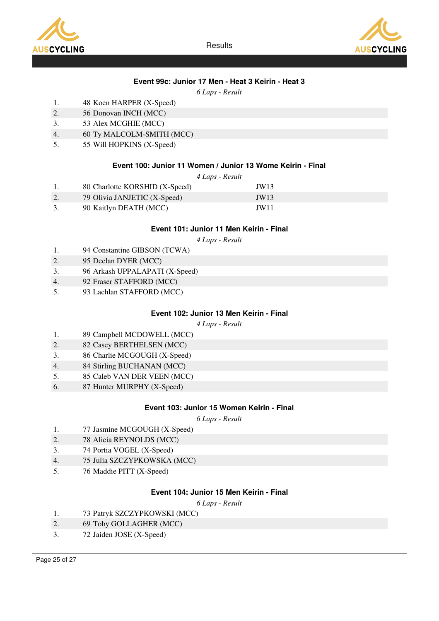



# Event 99c: Junior 17 Men - Heat 3 Keirin - Heat 3

6 Laps - Result

- 1. 48 Koen HARPER (X-Speed)
- 2. 56 Donovan INCH (MCC)
- 3. 53 Alex MCGHIE (MCC)
- 4. 60 Ty MALCOLM-SMITH (MCC)
- 5. 55 Will HOPKINS (X-Speed)

#### Event 100: Junior 11 Women / Junior 13 Wome Keirin - Final

|  |  |  | 4 Laps - Result |  |
|--|--|--|-----------------|--|
|--|--|--|-----------------|--|

|    | 80 Charlotte KORSHID (X-Speed) | JW13 |
|----|--------------------------------|------|
|    | 79 Olivia JANJETIC (X-Speed)   | JW13 |
| 3. | 90 Kaitlyn DEATH (MCC)         | JW11 |

#### Event 101: Junior 11 Men Keirin - Final

4 Laps - Result

- 1. 94 Constantine GIBSON (TCWA)
- 2. 95 Declan DYER (MCC)
- 3. 96 Arkash UPPALAPATI (X-Speed)
- 4. 92 Fraser STAFFORD (MCC)
- 5. 93 Lachlan STAFFORD (MCC)

### Event 102: Junior 13 Men Keirin - Final

4 Laps - Result

- 1. 89 Campbell MCDOWELL (MCC)
- 2. 82 Casey BERTHELSEN (MCC)
- 3. 86 Charlie MCGOUGH (X-Speed)
- 4. 84 Stirling BUCHANAN (MCC)
- 5. 85 Caleb VAN DER VEEN (MCC)
- 6. 87 Hunter MURPHY (X-Speed)

### Event 103: Junior 15 Women Keirin - Final

6 Laps - Result

- 1. 77 Jasmine MCGOUGH (X-Speed)
- 2. 78 Alicia REYNOLDS (MCC)
- 3. 74 Portia VOGEL (X-Speed)
- 4. 75 Julia SZCZYPKOWSKA (MCC)
- 5. 76 Maddie PITT (X-Speed)

### Event 104: Junior 15 Men Keirin - Final

- 1. 73 Patryk SZCZYPKOWSKI (MCC)
- 2. 69 Toby GOLLAGHER (MCC)
- 3. 72 Jaiden JOSE (X-Speed)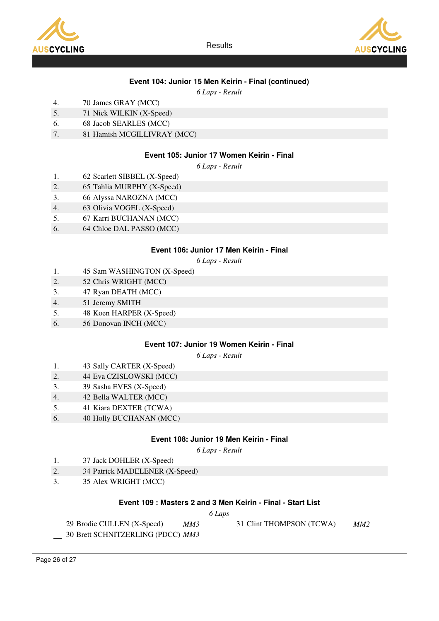





# Event 104: Junior 15 Men Keirin - Final (continued)

6 Laps - Result

- 4. 70 James GRAY (MCC)
- 5. 71 Nick WILKIN (X-Speed)
- 6. 68 Jacob SEARLES (MCC)
- 7. 81 Hamish MCGILLIVRAY (MCC)

### Event 105: Junior 17 Women Keirin - Final

6 Laps - Result

- 1. 62 Scarlett SIBBEL (X-Speed)
- 2. 65 Tahlia MURPHY (X-Speed)
- 3. 66 Alyssa NAROZNA (MCC)
- 4. 63 Olivia VOGEL (X-Speed)
- 5. 67 Karri BUCHANAN (MCC)
- 6. 64 Chloe DAL PASSO (MCC)

#### Event 106: Junior 17 Men Keirin - Final

6 Laps - Result

- 1. 45 Sam WASHINGTON (X-Speed)
- 2. 52 Chris WRIGHT (MCC)
- 3. 47 Ryan DEATH (MCC)
- 4. 51 Jeremy SMITH
- 5. 48 Koen HARPER (X-Speed)
- 6. 56 Donovan INCH (MCC)

### Event 107: Junior 19 Women Keirin - Final

6 Laps - Result

- 1. 43 Sally CARTER (X-Speed)
- 2. 44 Eva CZISLOWSKI (MCC)
- 3. 39 Sasha EVES (X-Speed)
- 4. 42 Bella WALTER (MCC)
- 5. 41 Kiara DEXTER (TCWA)
- 6. 40 Holly BUCHANAN (MCC)

### Event 108: Junior 19 Men Keirin - Final

6 Laps - Result

- 1. 37 Jack DOHLER (X-Speed)
- 2. 34 Patrick MADELENER (X-Speed)
- 3. 35 Alex WRIGHT (MCC)

### Event 109 : Masters 2 and 3 Men Keirin - Final - Start List

#### 6 Laps

- 29 Brodie CULLEN (X-Speed) MM3  $-$  31 Clint THOMPSON (TCWA) MM2
- 30 Brett SCHNITZERLING (PDCC) MM3